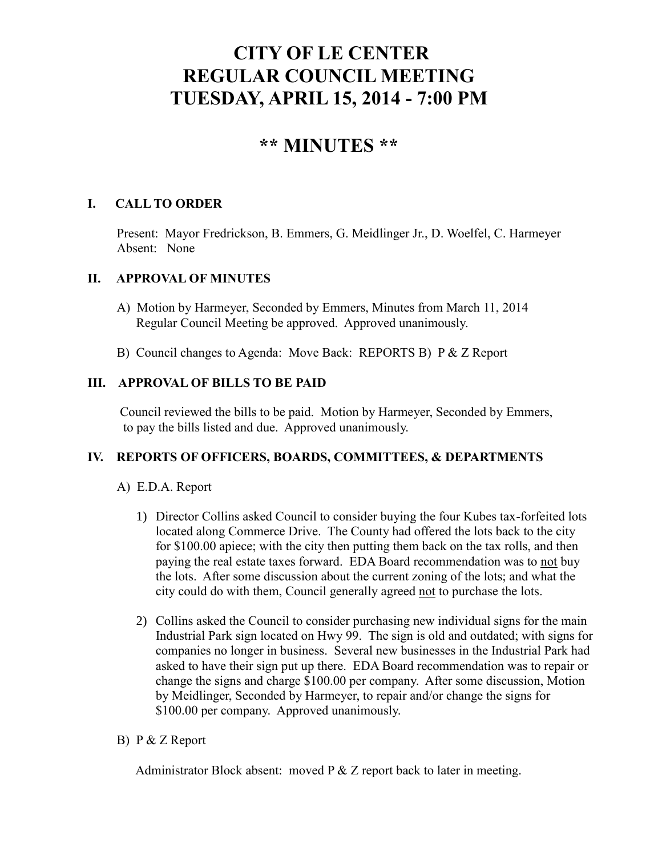# **CITY OF LE CENTER REGULAR COUNCIL MEETING TUESDAY, APRIL 15, 2014 - 7:00 PM**

## **\*\* MINUTES \*\***

## **I. CALL TO ORDER**

Present: Mayor Fredrickson, B. Emmers, G. Meidlinger Jr., D. Woelfel, C. Harmeyer Absent: None

## **II. APPROVAL OF MINUTES**

- A) Motion by Harmeyer, Seconded by Emmers, Minutes from March 11, 2014 Regular Council Meeting be approved. Approved unanimously.
- B) Council changes to Agenda: Move Back: REPORTS B) P & Z Report

## **III. APPROVAL OF BILLS TO BE PAID**

Council reviewed the bills to be paid. Motion by Harmeyer, Seconded by Emmers, to pay the bills listed and due. Approved unanimously.

### **IV. REPORTS OF OFFICERS, BOARDS, COMMITTEES, & DEPARTMENTS**

## A) E.D.A. Report

- 1) Director Collins asked Council to consider buying the four Kubes tax-forfeited lots located along Commerce Drive. The County had offered the lots back to the city for \$100.00 apiece; with the city then putting them back on the tax rolls, and then paying the real estate taxes forward. EDA Board recommendation was to not buy the lots. After some discussion about the current zoning of the lots; and what the city could do with them, Council generally agreed not to purchase the lots.
- 2) Collins asked the Council to consider purchasing new individual signs for the main Industrial Park sign located on Hwy 99. The sign is old and outdated; with signs for companies no longer in business. Several new businesses in the Industrial Park had asked to have their sign put up there. EDA Board recommendation was to repair or change the signs and charge \$100.00 per company. After some discussion, Motion by Meidlinger, Seconded by Harmeyer, to repair and/or change the signs for \$100.00 per company. Approved unanimously.

### B) P & Z Report

Administrator Block absent: moved P & Z report back to later in meeting.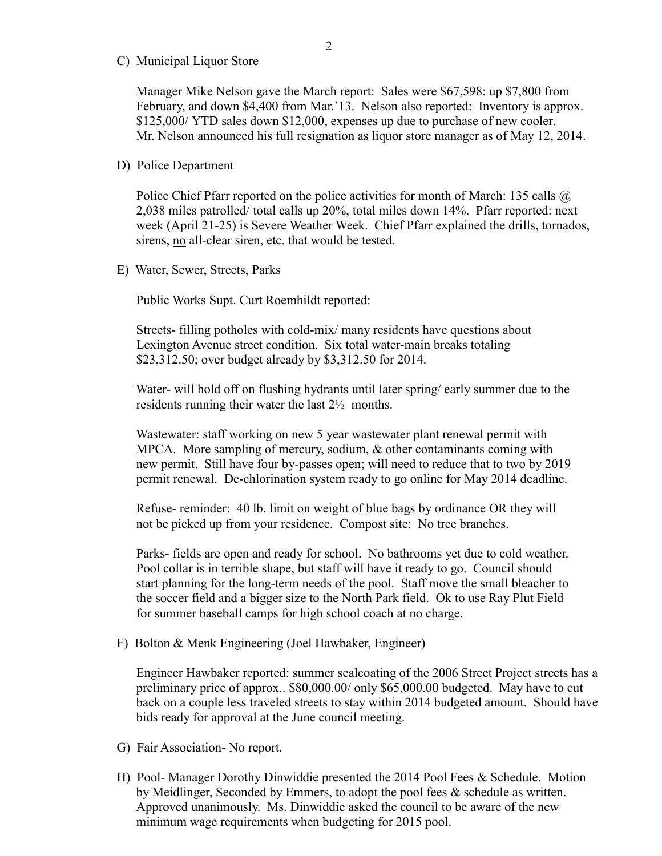C) Municipal Liquor Store

Manager Mike Nelson gave the March report: Sales were \$67,598: up \$7,800 from February, and down \$4,400 from Mar.'13. Nelson also reported: Inventory is approx. \$125,000/ YTD sales down \$12,000, expenses up due to purchase of new cooler. Mr. Nelson announced his full resignation as liquor store manager as of May 12, 2014.

#### D) Police Department

Police Chief Pfarr reported on the police activities for month of March: 135 calls @ 2,038 miles patrolled/ total calls up 20%, total miles down 14%. Pfarr reported: next week (April 21-25) is Severe Weather Week. Chief Pfarr explained the drills, tornados, sirens, no all-clear siren, etc. that would be tested.

E) Water, Sewer, Streets, Parks

Public Works Supt. Curt Roemhildt reported:

 Streets- filling potholes with cold-mix/ many residents have questions about Lexington Avenue street condition. Six total water-main breaks totaling \$23,312.50; over budget already by \$3,312.50 for 2014.

 Water- will hold off on flushing hydrants until later spring/ early summer due to the residents running their water the last 2½ months.

 Wastewater: staff working on new 5 year wastewater plant renewal permit with MPCA. More sampling of mercury, sodium, & other contaminants coming with new permit. Still have four by-passes open; will need to reduce that to two by 2019 permit renewal. De-chlorination system ready to go online for May 2014 deadline.

 Refuse- reminder: 40 lb. limit on weight of blue bags by ordinance OR they will not be picked up from your residence. Compost site: No tree branches.

 Parks- fields are open and ready for school. No bathrooms yet due to cold weather. Pool collar is in terrible shape, but staff will have it ready to go. Council should start planning for the long-term needs of the pool. Staff move the small bleacher to the soccer field and a bigger size to the North Park field. Ok to use Ray Plut Field for summer baseball camps for high school coach at no charge.

F) Bolton & Menk Engineering (Joel Hawbaker, Engineer)

 Engineer Hawbaker reported: summer sealcoating of the 2006 Street Project streets has a preliminary price of approx.. \$80,000.00/ only \$65,000.00 budgeted. May have to cut back on a couple less traveled streets to stay within 2014 budgeted amount. Should have bids ready for approval at the June council meeting.

- G) Fair Association- No report.
- H) Pool- Manager Dorothy Dinwiddie presented the 2014 Pool Fees & Schedule. Motion by Meidlinger, Seconded by Emmers, to adopt the pool fees & schedule as written. Approved unanimously. Ms. Dinwiddie asked the council to be aware of the new minimum wage requirements when budgeting for 2015 pool.